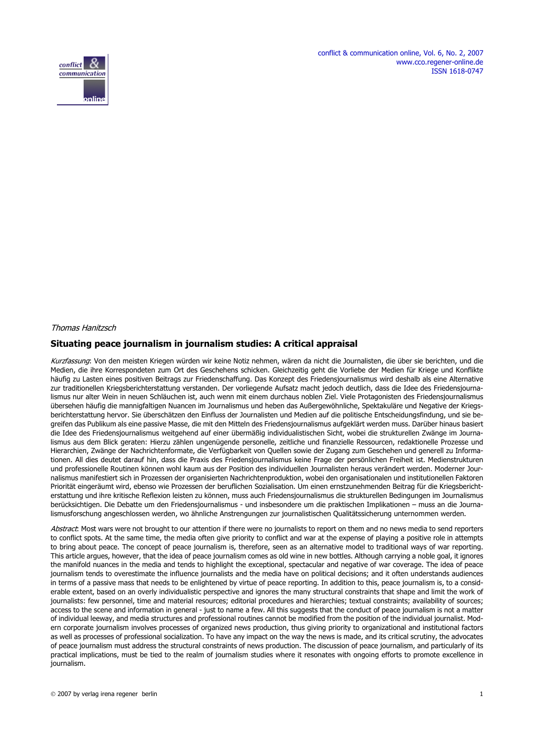

#### Thomas Hanitzsch

#### **Situating peace journalism in journalism studies: A critical appraisal**

Kurzfassung: Von den meisten Kriegen würden wir keine Notiz nehmen, wären da nicht die Journalisten, die über sie berichten, und die Medien, die ihre Korrespondeten zum Ort des Geschehens schicken. Gleichzeitig geht die Vorliebe der Medien für Kriege und Konflikte häufig zu Lasten eines positiven Beitrags zur Friedenschaffung. Das Konzept des Friedensjournalismus wird deshalb als eine Alternative zur traditionellen Kriegsberichterstattung verstanden. Der vorliegende Aufsatz macht jedoch deutlich, dass die Idee des Friedensjournalismus nur alter Wein in neuen Schläuchen ist, auch wenn mit einem durchaus noblen Ziel. Viele Protagonisten des Friedensjournalismus übersehen häufig die mannigfaltigen Nuancen im Journalismus und heben das Außergewöhnliche, Spektakuläre und Negative der Kriegsberichterstattung hervor. Sie überschätzen den Einfluss der Journalisten und Medien auf die politische Entscheidungsfindung, und sie begreifen das Publikum als eine passive Masse, die mit den Mitteln des Friedensjournalismus aufgeklärt werden muss. Darüber hinaus basiert die Idee des Friedensjournalismus weitgehend auf einer übermäßig individualistischen Sicht, wobei die strukturellen Zwänge im Journalismus aus dem Blick geraten: Hierzu zählen ungenügende personelle, zeitliche und finanzielle Ressourcen, redaktionelle Prozesse und Hierarchien, Zwänge der Nachrichtenformate, die Verfügbarkeit von Quellen sowie der Zugang zum Geschehen und generell zu Informationen. All dies deutet darauf hin, dass die Praxis des Friedensjournalismus keine Frage der persönlichen Freiheit ist. Medienstrukturen und professionelle Routinen können wohl kaum aus der Position des individuellen Journalisten heraus verändert werden. Moderner Journalismus manifestiert sich in Prozessen der organisierten Nachrichtenproduktion, wobei den organisationalen und institutionellen Faktoren Priorität eingeräumt wird, ebenso wie Prozessen der beruflichen Sozialisation. Um einen ernstzunehmenden Beitrag für die Kriegsberichterstattung und ihre kritische Reflexion leisten zu können, muss auch Friedensjournalismus die strukturellen Bedingungen im Journalismus berücksichtigen. Die Debatte um den Friedensjournalismus - und insbesondere um die praktischen Implikationen – muss an die Journalismusforschung angeschlossen werden, wo ähnliche Anstrengungen zur journalistischen Qualitätssicherung unternommen werden.

Abstract: Most wars were not brought to our attention if there were no journalists to report on them and no news media to send reporters to conflict spots. At the same time, the media often give priority to conflict and war at the expense of playing a positive role in attempts to bring about peace. The concept of peace journalism is, therefore, seen as an alternative model to traditional ways of war reporting. This article argues, however, that the idea of peace journalism comes as old wine in new bottles. Although carrying a noble goal, it ignores the manifold nuances in the media and tends to highlight the exceptional, spectacular and negative of war coverage. The idea of peace journalism tends to overestimate the influence journalists and the media have on political decisions; and it often understands audiences in terms of a passive mass that needs to be enlightened by virtue of peace reporting. In addition to this, peace journalism is, to a considerable extent, based on an overly individualistic perspective and ignores the many structural constraints that shape and limit the work of journalists: few personnel, time and material resources; editorial procedures and hierarchies; textual constraints; availability of sources; access to the scene and information in general - just to name a few. All this suggests that the conduct of peace journalism is not a matter of individual leeway, and media structures and professional routines cannot be modified from the position of the individual journalist. Modern corporate journalism involves processes of organized news production, thus giving priority to organizational and institutional factors as well as processes of professional socialization. To have any impact on the way the news is made, and its critical scrutiny, the advocates of peace journalism must address the structural constraints of news production. The discussion of peace journalism, and particularly of its practical implications, must be tied to the realm of journalism studies where it resonates with ongoing efforts to promote excellence in journalism.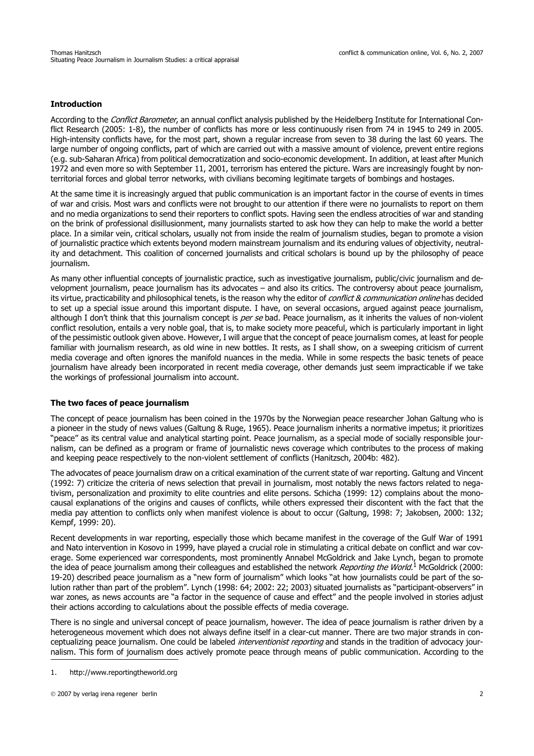# **Introduction**

According to the Conflict Barometer, an annual conflict analysis published by the Heidelberg Institute for International Conflict Research (2005: 1-8), the number of conflicts has more or less continuously risen from 74 in 1945 to 249 in 2005. High-intensity conflicts have, for the most part, shown a regular increase from seven to 38 during the last 60 years. The large number of ongoing conflicts, part of which are carried out with a massive amount of violence, prevent entire regions (e.g. sub-Saharan Africa) from political democratization and socio-economic development. In addition, at least after Munich 1972 and even more so with September 11, 2001, terrorism has entered the picture. Wars are increasingly fought by nonterritorial forces and global terror networks, with civilians becoming legitimate targets of bombings and hostages.

At the same time it is increasingly argued that public communication is an important factor in the course of events in times of war and crisis. Most wars and conflicts were not brought to our attention if there were no journalists to report on them and no media organizations to send their reporters to conflict spots. Having seen the endless atrocities of war and standing on the brink of professional disillusionment, many journalists started to ask how they can help to make the world a better place. In a similar vein, critical scholars, usually not from inside the realm of journalism studies, began to promote a vision of journalistic practice which extents beyond modern mainstream journalism and its enduring values of objectivity, neutrality and detachment. This coalition of concerned journalists and critical scholars is bound up by the philosophy of peace journalism.

As many other influential concepts of journalistic practice, such as investigative journalism, public/civic journalism and development journalism, peace journalism has its advocates – and also its critics. The controversy about peace journalism, its virtue, practicability and philosophical tenets, is the reason why the editor of *conflict & communication online* has decided to set up a special issue around this important dispute. I have, on several occasions, argued against peace journalism, although I don't think that this journalism concept is per se bad. Peace journalism, as it inherits the values of non-violent conflict resolution, entails a very noble goal, that is, to make society more peaceful, which is particularly important in light of the pessimistic outlook given above. However, I will argue that the concept of peace journalism comes, at least for people familiar with journalism research, as old wine in new bottles. It rests, as I shall show, on a sweeping criticism of current media coverage and often ignores the manifold nuances in the media. While in some respects the basic tenets of peace journalism have already been incorporated in recent media coverage, other demands just seem impracticable if we take the workings of professional journalism into account.

# **The two faces of peace journalism**

The concept of peace journalism has been coined in the 1970s by the Norwegian peace researcher Johan Galtung who is a pioneer in the study of news values (Galtung & Ruge, 1965). Peace journalism inherits a normative impetus; it prioritizes "peace" as its central value and analytical starting point. Peace journalism, as a special mode of socially responsible journalism, can be defined as a program or frame of journalistic news coverage which contributes to the process of making and keeping peace respectively to the non-violent settlement of conflicts (Hanitzsch, 2004b: 482).

The advocates of peace journalism draw on a critical examination of the current state of war reporting. Galtung and Vincent (1992: 7) criticize the criteria of news selection that prevail in journalism, most notably the news factors related to negativism, personalization and proximity to elite countries and elite persons. Schicha (1999: 12) complains about the monocausal explanations of the origins and causes of conflicts, while others expressed their discontent with the fact that the media pay attention to conflicts only when manifest violence is about to occur (Galtung, 1998: 7; Jakobsen, 2000: 132; Kempf, 1999: 20).

Recent developments in war reporting, especially those which became manifest in the coverage of the Gulf War of 1991 and Nato intervention in Kosovo in 1999, have played a crucial role in stimulating a critical debate on conflict and war coverage. Some experienced war correspondents, most prominently Annabel McGoldrick and Jake Lynch, began to promote the idea of peace journalism among their colleagues and established the network *Reporting the World*.<sup>1</sup> McGoldrick (2000: 19-20) described peace journalism as a "new form of journalism" which looks "at how journalists could be part of the solution rather than part of the problem". Lynch (1998: 64; 2002: 22; 2003) situated journalists as "participant-observers" in war zones, as news accounts are "a factor in the sequence of cause and effect" and the people involved in stories adjust their actions according to calculations about the possible effects of media coverage.

There is no single and universal concept of peace journalism, however. The idea of peace journalism is rather driven by a heterogeneous movement which does not always define itself in a clear-cut manner. There are two major strands in conceptualizing peace journalism. One could be labeled *interventionist reporting* and stands in the tradition of advocacy journalism. This form of journalism does actively promote peace through means of public communication. According to the

<sup>1.</sup> http://www.reportingtheworld.org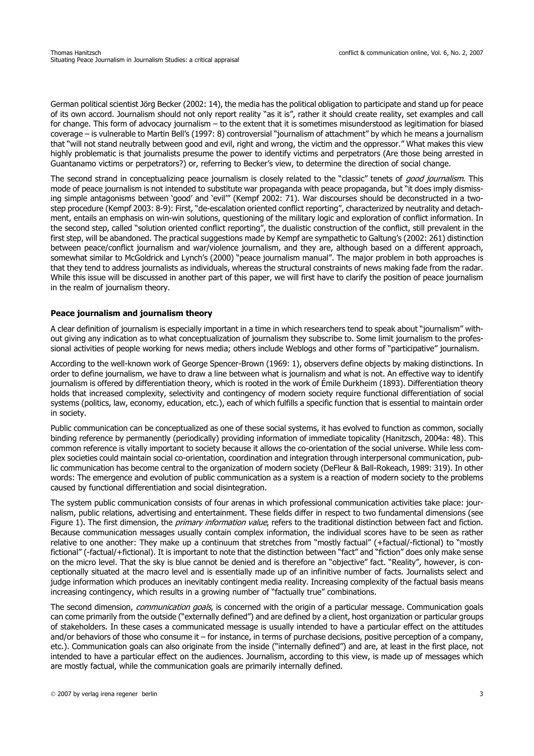German political scientist Jörg Becker (2002: 14), the media has the political obligation to participate and stand up for peace of its own accord. Journalism should not only report reality "as it is", rather it should create reality, set examples and call for change. This form of advocacy journalism – to the extent that it is sometimes misunderstood as legitimation for biased coverage – is vulnerable to Martin Bell's (1997: 8) controversial "journalism of attachment" by which he means a journalism that "will not stand neutrally between good and evil, right and wrong, the victim and the oppressor." What makes this view highly problematic is that journalists presume the power to identify victims and perpetrators (Are those being arrested in Guantanamo victims or perpetrators?) or, referring to Becker's view, to determine the direction of social change.

The second strand in conceptualizing peace journalism is closely related to the "classic" tenets of *good journalism*. This mode of peace journalism is not intended to substitute war propaganda with peace propaganda, but "it does imply dismissing simple antagonisms between 'good' and 'evil'" (Kempf 2002: 71). War discourses should be deconstructed in a twostep procedure (Kempf 2003: 8-9): First, "de-escalation oriented conflict reporting", characterized by neutrality and detachment, entails an emphasis on win-win solutions, questioning of the military logic and exploration of conflict information. In the second step, called "solution oriented conflict reporting", the dualistic construction of the conflict, still prevalent in the first step, will be abandoned. The practical suggestions made by Kempf are sympathetic to Galtung's (2002: 261) distinction between peace/conflict journalism and war/violence journalism, and they are, although based on a different approach, somewhat similar to McGoldrick and Lynch's (2000) "peace journalism manual". The major problem in both approaches is that they tend to address journalists as individuals, whereas the structural constraints of news making fade from the radar. While this issue will be discussed in another part of this paper, we will first have to clarify the position of peace journalism in the realm of journalism theory.

# **Peace journalism and journalism theory**

A clear definition of journalism is especially important in a time in which researchers tend to speak about "journalism" without giving any indication as to what conceptualization of journalism they subscribe to. Some limit journalism to the professional activities of people working for news media; others include Weblogs and other forms of "participative" journalism.

According to the well-known work of George Spencer-Brown (1969: 1), observers define objects by making distinctions. In order to define journalism, we have to draw a line between what is journalism and what is not. An effective way to identify journalism is offered by differentiation theory, which is rooted in the work of Émile Durkheim (1893). Differentiation theory holds that increased complexity, selectivity and contingency of modern society require functional differentiation of social systems (politics, law, economy, education, etc.), each of which fulfills a specific function that is essential to maintain order in society.

Public communication can be conceptualized as one of these social systems, it has evolved to function as common, socially binding reference by permanently (periodically) providing information of immediate topicality (Hanitzsch, 2004a: 48). This common reference is vitally important to society because it allows the co-orientation of the social universe. While less complex societies could maintain social co-orientation, coordination and integration through interpersonal communication, public communication has become central to the organization of modern society (DeFleur & Ball-Rokeach, 1989: 319). In other words: The emergence and evolution of public communication as a system is a reaction of modern society to the problems caused by functional differentiation and social disintegration.

The system public communication consists of four arenas in which professional communication activities take place: journalism, public relations, advertising and entertainment. These fields differ in respect to two fundamental dimensions (see Figure 1). The first dimension, the *primary information value*, refers to the traditional distinction between fact and fiction. Because communication messages usually contain complex information, the individual scores have to be seen as rather relative to one another: They make up a continuum that stretches from "mostly factual" (+factual/-fictional) to "mostly fictional" (-factual/+fictional). It is important to note that the distinction between "fact" and "fiction" does only make sense on the micro level. That the sky is blue cannot be denied and is therefore an "objective" fact. "Reality", however, is conceptionally situated at the macro level and is essentially made up of an infinitive number of facts. Journalists select and judge information which produces an inevitably contingent media reality. Increasing complexity of the factual basis means increasing contingency, which results in a growing number of "factually true" combinations.

The second dimension, communication goals, is concerned with the origin of a particular message. Communication goals can come primarily from the outside ("externally defined") and are defined by a client, host organization or particular groups of stakeholders. In these cases a communicated message is usually intended to have a particular effect on the attitudes and/or behaviors of those who consume it – for instance, in terms of purchase decisions, positive perception of a company, etc.). Communication goals can also originate from the inside ("internally defined") and are, at least in the first place, not intended to have a particular effect on the audiences. Journalism, according to this view, is made up of messages which are mostly factual, while the communication goals are primarily internally defined.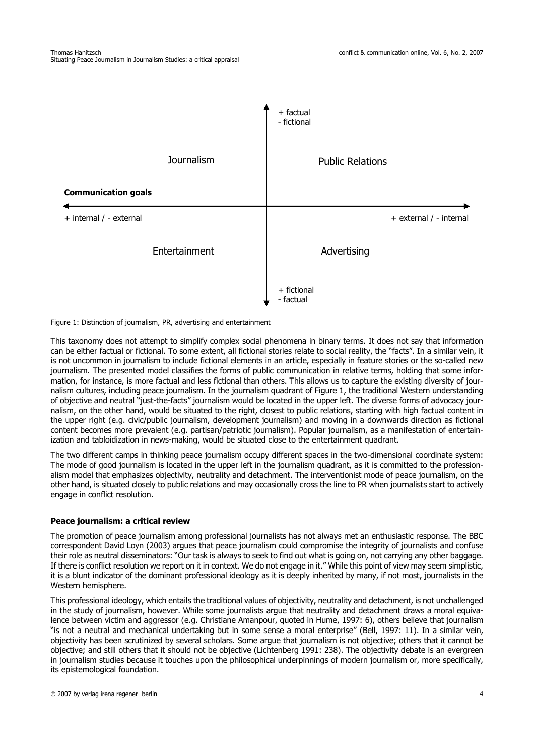

Figure 1: Distinction of journalism, PR, advertising and entertainment

This taxonomy does not attempt to simplify complex social phenomena in binary terms. It does not say that information can be either factual or fictional. To some extent, all fictional stories relate to social reality, the "facts". In a similar vein, it is not uncommon in journalism to include fictional elements in an article, especially in feature stories or the so-called new journalism. The presented model classifies the forms of public communication in relative terms, holding that some information, for instance, is more factual and less fictional than others. This allows us to capture the existing diversity of journalism cultures, including peace journalism. In the journalism quadrant of Figure 1, the traditional Western understanding of objective and neutral "just-the-facts" journalism would be located in the upper left. The diverse forms of advocacy journalism, on the other hand, would be situated to the right, closest to public relations, starting with high factual content in the upper right (e.g. civic/public journalism, development journalism) and moving in a downwards direction as fictional content becomes more prevalent (e.g. partisan/patriotic journalism). Popular journalism, as a manifestation of entertainization and tabloidization in news-making, would be situated close to the entertainment quadrant.

The two different camps in thinking peace journalism occupy different spaces in the two-dimensional coordinate system: The mode of good journalism is located in the upper left in the journalism quadrant, as it is committed to the professionalism model that emphasizes objectivity, neutrality and detachment. The interventionist mode of peace journalism, on the other hand, is situated closely to public relations and may occasionally cross the line to PR when journalists start to actively engage in conflict resolution.

#### **Peace journalism: a critical review**

The promotion of peace journalism among professional journalists has not always met an enthusiastic response. The BBC correspondent David Loyn (2003) argues that peace journalism could compromise the integrity of journalists and confuse their role as neutral disseminators: "Our task is always to seek to find out what is going on, not carrying any other baggage. If there is conflict resolution we report on it in context. We do not engage in it." While this point of view may seem simplistic, it is a blunt indicator of the dominant professional ideology as it is deeply inherited by many, if not most, journalists in the Western hemisphere.

This professional ideology, which entails the traditional values of objectivity, neutrality and detachment, is not unchallenged in the study of journalism, however. While some journalists argue that neutrality and detachment draws a moral equivalence between victim and aggressor (e.g. Christiane Amanpour, quoted in Hume, 1997: 6), others believe that journalism "is not a neutral and mechanical undertaking but in some sense a moral enterprise" (Bell, 1997: 11). In a similar vein, objectivity has been scrutinized by several scholars. Some argue that journalism is not objective; others that it cannot be objective; and still others that it should not be objective (Lichtenberg 1991: 238). The objectivity debate is an evergreen in journalism studies because it touches upon the philosophical underpinnings of modern journalism or, more specifically, its epistemological foundation.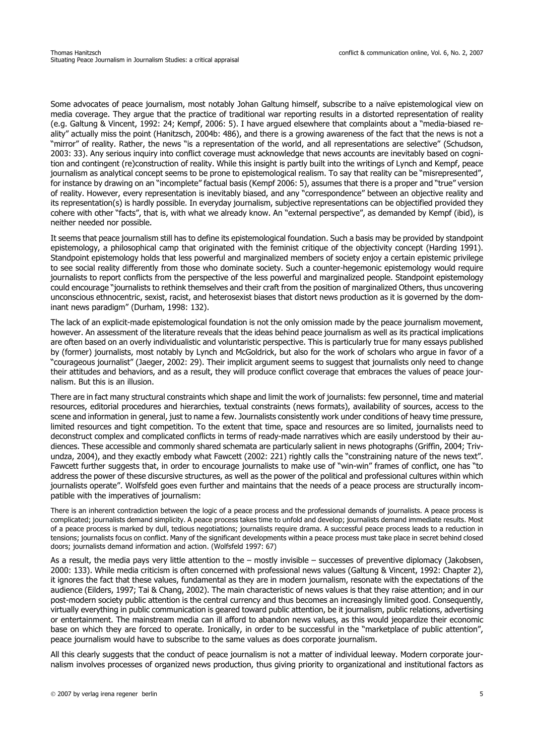Some advocates of peace journalism, most notably Johan Galtung himself, subscribe to a naïve epistemological view on media coverage. They argue that the practice of traditional war reporting results in a distorted representation of reality (e.g. Galtung & Vincent, 1992: 24; Kempf, 2006: 5). I have argued elsewhere that complaints about a "media-biased reality" actually miss the point (Hanitzsch, 2004b: 486), and there is a growing awareness of the fact that the news is not a "mirror" of reality. Rather, the news "is a representation of the world, and all representations are selective" (Schudson, 2003: 33). Any serious inquiry into conflict coverage must acknowledge that news accounts are inevitably based on cognition and contingent (re)construction of reality. While this insight is partly built into the writings of Lynch and Kempf, peace journalism as analytical concept seems to be prone to epistemological realism. To say that reality can be "misrepresented", for instance by drawing on an "incomplete" factual basis (Kempf 2006: 5), assumes that there is a proper and "true" version of reality. However, every representation is inevitably biased, and any "correspondence" between an objective reality and its representation(s) is hardly possible. In everyday journalism, subjective representations can be objectified provided they cohere with other "facts", that is, with what we already know. An "external perspective", as demanded by Kempf (ibid), is neither needed nor possible.

It seems that peace journalism still has to define its epistemological foundation. Such a basis may be provided by standpoint epistemology, a philosophical camp that originated with the feminist critique of the objectivity concept (Harding 1991). Standpoint epistemology holds that less powerful and marginalized members of society enjoy a certain epistemic privilege to see social reality differently from those who dominate society. Such a counter-hegemonic epistemology would require journalists to report conflicts from the perspective of the less powerful and marginalized people. Standpoint epistemology could encourage "journalists to rethink themselves and their craft from the position of marginalized Others, thus uncovering unconscious ethnocentric, sexist, racist, and heterosexist biases that distort news production as it is governed by the dominant news paradigm" (Durham, 1998: 132).

The lack of an explicit-made epistemological foundation is not the only omission made by the peace journalism movement, however. An assessment of the literature reveals that the ideas behind peace journalism as well as its practical implications are often based on an overly individualistic and voluntaristic perspective. This is particularly true for many essays published by (former) journalists, most notably by Lynch and McGoldrick, but also for the work of scholars who argue in favor of a "courageous journalist" (Jaeger, 2002: 29). Their implicit argument seems to suggest that journalists only need to change their attitudes and behaviors, and as a result, they will produce conflict coverage that embraces the values of peace journalism. But this is an illusion.

There are in fact many structural constraints which shape and limit the work of journalists: few personnel, time and material resources, editorial procedures and hierarchies, textual constraints (news formats), availability of sources, access to the scene and information in general, just to name a few. Journalists consistently work under conditions of heavy time pressure, limited resources and tight competition. To the extent that time, space and resources are so limited, journalists need to deconstruct complex and complicated conflicts in terms of ready-made narratives which are easily understood by their audiences. These accessible and commonly shared schemata are particularly salient in news photographs (Griffin, 2004; Trivundza, 2004), and they exactly embody what Fawcett (2002: 221) rightly calls the "constraining nature of the news text". Fawcett further suggests that, in order to encourage journalists to make use of "win-win" frames of conflict, one has "to address the power of these discursive structures, as well as the power of the political and professional cultures within which journalists operate". Wolfsfeld goes even further and maintains that the needs of a peace process are structurally incompatible with the imperatives of journalism:

There is an inherent contradiction between the logic of a peace process and the professional demands of journalists. A peace process is complicated; journalists demand simplicity. A peace process takes time to unfold and develop; journalists demand immediate results. Most of a peace process is marked by dull, tedious negotiations; journalists require drama. A successful peace process leads to a reduction in tensions; journalists focus on conflict. Many of the significant developments within a peace process must take place in secret behind closed doors; journalists demand information and action. (Wolfsfeld 1997: 67)

As a result, the media pays very little attention to the – mostly invisible – successes of preventive diplomacy (Jakobsen, 2000: 133). While media criticism is often concerned with professional news values (Galtung & Vincent, 1992: Chapter 2), it ignores the fact that these values, fundamental as they are in modern journalism, resonate with the expectations of the audience (Eilders, 1997; Tai & Chang, 2002). The main characteristic of news values is that they raise attention; and in our post-modern society public attention is the central currency and thus becomes an increasingly limited good. Consequently, virtually everything in public communication is geared toward public attention, be it journalism, public relations, advertising or entertainment. The mainstream media can ill afford to abandon news values, as this would jeopardize their economic base on which they are forced to operate. Ironically, in order to be successful in the "marketplace of public attention", peace journalism would have to subscribe to the same values as does corporate journalism.

All this clearly suggests that the conduct of peace journalism is not a matter of individual leeway. Modern corporate journalism involves processes of organized news production, thus giving priority to organizational and institutional factors as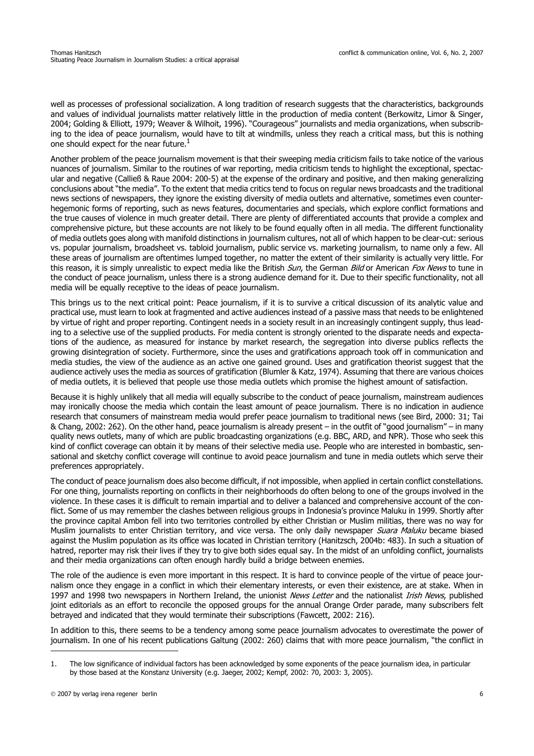well as processes of professional socialization. A long tradition of research suggests that the characteristics, backgrounds and values of individual journalists matter relatively little in the production of media content (Berkowitz, Limor & Singer, 2004; Golding & Elliott, 1979; Weaver & Wilhoit, 1996). "Courageous" journalists and media organizations, when subscribing to the idea of peace journalism, would have to tilt at windmills, unless they reach a critical mass, but this is nothing one should expect for the near future. $1$ 

Another problem of the peace journalism movement is that their sweeping media criticism fails to take notice of the various nuances of journalism. Similar to the routines of war reporting, media criticism tends to highlight the exceptional, spectacular and negative (Calließ & Raue 2004: 200-5) at the expense of the ordinary and positive, and then making generalizing conclusions about "the media". To the extent that media critics tend to focus on regular news broadcasts and the traditional news sections of newspapers, they ignore the existing diversity of media outlets and alternative, sometimes even counterhegemonic forms of reporting, such as news features, documentaries and specials, which explore conflict formations and the true causes of violence in much greater detail. There are plenty of differentiated accounts that provide a complex and comprehensive picture, but these accounts are not likely to be found equally often in all media. The different functionality of media outlets goes along with manifold distinctions in journalism cultures, not all of which happen to be clear-cut: serious vs. popular journalism, broadsheet vs. tabloid journalism, public service vs. marketing journalism, to name only a few. All these areas of journalism are oftentimes lumped together, no matter the extent of their similarity is actually very little. For this reason, it is simply unrealistic to expect media like the British Sun, the German Bild or American Fox News to tune in the conduct of peace journalism, unless there is a strong audience demand for it. Due to their specific functionality, not all media will be equally receptive to the ideas of peace journalism.

This brings us to the next critical point: Peace journalism, if it is to survive a critical discussion of its analytic value and practical use, must learn to look at fragmented and active audiences instead of a passive mass that needs to be enlightened by virtue of right and proper reporting. Contingent needs in a society result in an increasingly contingent supply, thus leading to a selective use of the supplied products. For media content is strongly oriented to the disparate needs and expectations of the audience, as measured for instance by market research, the segregation into diverse publics reflects the growing disintegration of society. Furthermore, since the uses and gratifications approach took off in communication and media studies, the view of the audience as an active one gained ground. Uses and gratification theorist suggest that the audience actively uses the media as sources of gratification (Blumler & Katz, 1974). Assuming that there are various choices of media outlets, it is believed that people use those media outlets which promise the highest amount of satisfaction.

Because it is highly unlikely that all media will equally subscribe to the conduct of peace journalism, mainstream audiences may ironically choose the media which contain the least amount of peace journalism. There is no indication in audience research that consumers of mainstream media would prefer peace journalism to traditional news (see Bird, 2000: 31; Tai & Chang, 2002: 262). On the other hand, peace journalism is already present – in the outfit of "good journalism" – in many quality news outlets, many of which are public broadcasting organizations (e.g. BBC, ARD, and NPR). Those who seek this kind of conflict coverage can obtain it by means of their selective media use. People who are interested in bombastic, sensational and sketchy conflict coverage will continue to avoid peace journalism and tune in media outlets which serve their preferences appropriately.

The conduct of peace journalism does also become difficult, if not impossible, when applied in certain conflict constellations. For one thing, journalists reporting on conflicts in their neighborhoods do often belong to one of the groups involved in the violence. In these cases it is difficult to remain impartial and to deliver a balanced and comprehensive account of the conflict. Some of us may remember the clashes between religious groups in Indonesia's province Maluku in 1999. Shortly after the province capital Ambon fell into two territories controlled by either Christian or Muslim militias, there was no way for Muslim journalists to enter Christian territory, and vice versa. The only daily newspaper Suara Maluku became biased against the Muslim population as its office was located in Christian territory (Hanitzsch, 2004b: 483). In such a situation of hatred, reporter may risk their lives if they try to give both sides equal say. In the midst of an unfolding conflict, journalists and their media organizations can often enough hardly build a bridge between enemies.

The role of the audience is even more important in this respect. It is hard to convince people of the virtue of peace journalism once they engage in a conflict in which their elementary interests, or even their existence, are at stake. When in 1997 and 1998 two newspapers in Northern Ireland, the unionist News Letter and the nationalist *Irish News*, published joint editorials as an effort to reconcile the opposed groups for the annual Orange Order parade, many subscribers felt betrayed and indicated that they would terminate their subscriptions (Fawcett, 2002: 216).

In addition to this, there seems to be a tendency among some peace journalism advocates to overestimate the power of journalism. In one of his recent publications Galtung (2002: 260) claims that with more peace journalism, "the conflict in

<sup>1.</sup> The low significance of individual factors has been acknowledged by some exponents of the peace journalism idea, in particular by those based at the Konstanz University (e.g. Jaeger, 2002; Kempf, 2002: 70, 2003: 3, 2005).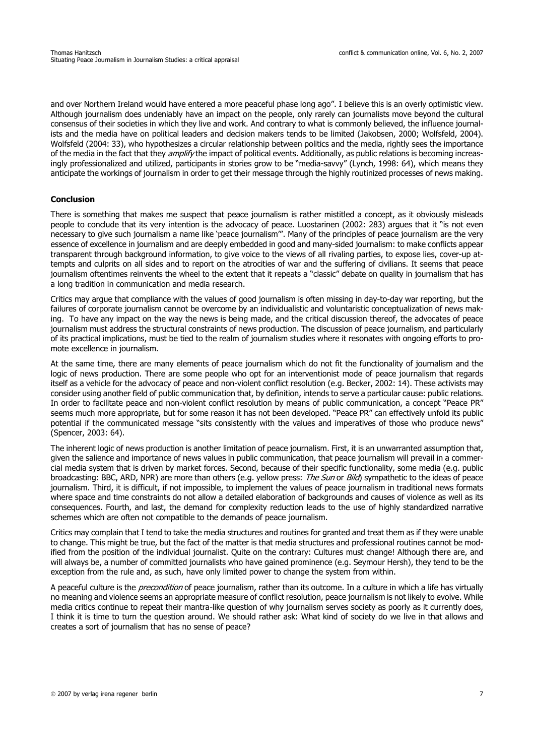and over Northern Ireland would have entered a more peaceful phase long ago". I believe this is an overly optimistic view. Although journalism does undeniably have an impact on the people, only rarely can journalists move beyond the cultural consensus of their societies in which they live and work. And contrary to what is commonly believed, the influence journalists and the media have on political leaders and decision makers tends to be limited (Jakobsen, 2000; Wolfsfeld, 2004). Wolfsfeld (2004: 33), who hypothesizes a circular relationship between politics and the media, rightly sees the importance of the media in the fact that they *amplify* the impact of political events. Additionally, as public relations is becoming increasingly professionalized and utilized, participants in stories grow to be "media-savvy" (Lynch, 1998: 64), which means they anticipate the workings of journalism in order to get their message through the highly routinized processes of news making.

# **Conclusion**

There is something that makes me suspect that peace journalism is rather mistitled a concept, as it obviously misleads people to conclude that its very intention is the advocacy of peace. Luostarinen (2002: 283) argues that it "is not even necessary to give such journalism a name like 'peace journalism'". Many of the principles of peace journalism are the very essence of excellence in journalism and are deeply embedded in good and many-sided journalism: to make conflicts appear transparent through background information, to give voice to the views of all rivaling parties, to expose lies, cover-up attempts and culprits on all sides and to report on the atrocities of war and the suffering of civilians. It seems that peace journalism oftentimes reinvents the wheel to the extent that it repeats a "classic" debate on quality in journalism that has a long tradition in communication and media research.

Critics may argue that compliance with the values of good journalism is often missing in day-to-day war reporting, but the failures of corporate journalism cannot be overcome by an individualistic and voluntaristic conceptualization of news making. To have any impact on the way the news is being made, and the critical discussion thereof, the advocates of peace journalism must address the structural constraints of news production. The discussion of peace journalism, and particularly of its practical implications, must be tied to the realm of journalism studies where it resonates with ongoing efforts to promote excellence in journalism.

At the same time, there are many elements of peace journalism which do not fit the functionality of journalism and the logic of news production. There are some people who opt for an interventionist mode of peace journalism that regards itself as a vehicle for the advocacy of peace and non-violent conflict resolution (e.g. Becker, 2002: 14). These activists may consider using another field of public communication that, by definition, intends to serve a particular cause: public relations. In order to facilitate peace and non-violent conflict resolution by means of public communication, a concept "Peace PR" seems much more appropriate, but for some reason it has not been developed. "Peace PR" can effectively unfold its public potential if the communicated message "sits consistently with the values and imperatives of those who produce news" (Spencer, 2003: 64).

The inherent logic of news production is another limitation of peace journalism. First, it is an unwarranted assumption that, given the salience and importance of news values in public communication, that peace journalism will prevail in a commercial media system that is driven by market forces. Second, because of their specific functionality, some media (e.g. public broadcasting: BBC, ARD, NPR) are more than others (e.g. yellow press: The Sun or Bild) sympathetic to the ideas of peace journalism. Third, it is difficult, if not impossible, to implement the values of peace journalism in traditional news formats where space and time constraints do not allow a detailed elaboration of backgrounds and causes of violence as well as its consequences. Fourth, and last, the demand for complexity reduction leads to the use of highly standardized narrative schemes which are often not compatible to the demands of peace journalism.

Critics may complain that I tend to take the media structures and routines for granted and treat them as if they were unable to change. This might be true, but the fact of the matter is that media structures and professional routines cannot be modified from the position of the individual journalist. Quite on the contrary: Cultures must change! Although there are, and will always be, a number of committed journalists who have gained prominence (e.g. Seymour Hersh), they tend to be the exception from the rule and, as such, have only limited power to change the system from within.

A peaceful culture is the *precondition* of peace journalism, rather than its outcome. In a culture in which a life has virtually no meaning and violence seems an appropriate measure of conflict resolution, peace journalism is not likely to evolve. While media critics continue to repeat their mantra-like question of why journalism serves society as poorly as it currently does, I think it is time to turn the question around. We should rather ask: What kind of society do we live in that allows and creates a sort of journalism that has no sense of peace?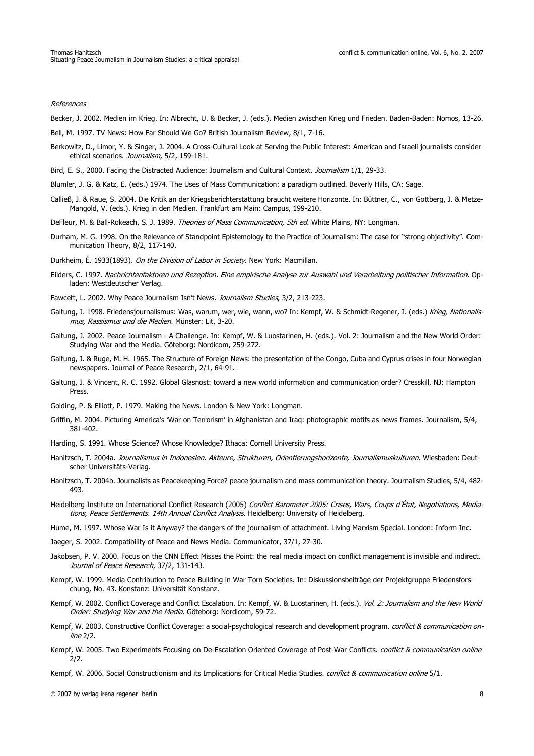#### References

Becker, J. 2002. Medien im Krieg. In: Albrecht, U. & Becker, J. (eds.). Medien zwischen Krieg und Frieden. Baden-Baden: Nomos, 13-26.

Bell, M. 1997. TV News: How Far Should We Go? British Journalism Review, 8/1, 7-16.

- Berkowitz, D., Limor, Y. & Singer, J. 2004. A Cross-Cultural Look at Serving the Public Interest: American and Israeli journalists consider ethical scenarios. Journalism, 5/2, 159-181.
- Bird, E. S., 2000. Facing the Distracted Audience: Journalism and Cultural Context. Journalism 1/1, 29-33.
- Blumler, J. G. & Katz, E. (eds.) 1974. The Uses of Mass Communication: a paradigm outlined. Beverly Hills, CA: Sage.
- Calließ, J. & Raue, S. 2004. Die Kritik an der Kriegsberichterstattung braucht weitere Horizonte. In: Büttner, C., von Gottberg, J. & Metze-Mangold, V. (eds.). Krieg in den Medien. Frankfurt am Main: Campus, 199-210.
- DeFleur, M. & Ball-Rokeach, S. J. 1989. Theories of Mass Communication, 5th ed. White Plains, NY: Longman.
- Durham, M. G. 1998. On the Relevance of Standpoint Epistemology to the Practice of Journalism: The case for "strong objectivity". Communication Theory, 8/2, 117-140.
- Durkheim, É. 1933(1893). On the Division of Labor in Society. New York: Macmillan.
- Eilders, C. 1997. Nachrichtenfaktoren und Rezeption. Eine empirische Analyse zur Auswahl und Verarbeitung politischer Information. Opladen: Westdeutscher Verlag.
- Fawcett, L. 2002. Why Peace Journalism Isn't News. Journalism Studies, 3/2, 213-223.
- Galtung, J. 1998. Friedensjournalismus: Was, warum, wer, wie, wann, wo? In: Kempf, W. & Schmidt-Regener, I. (eds.) Krieg, Nationalismus, Rassismus und die Medien. Münster: Lit, 3-20.
- Galtung, J. 2002. Peace Journalism A Challenge. In: Kempf, W. & Luostarinen, H. (eds.). Vol. 2: Journalism and the New World Order: Studying War and the Media. Göteborg: Nordicom, 259-272.
- Galtung, J. & Ruge, M. H. 1965. The Structure of Foreign News: the presentation of the Congo, Cuba and Cyprus crises in four Norwegian newspapers. Journal of Peace Research, 2/1, 64-91.
- Galtung, J. & Vincent, R. C. 1992. Global Glasnost: toward a new world information and communication order? Cresskill, NJ: Hampton Press.
- Golding, P. & Elliott, P. 1979. Making the News. London & New York: Longman.
- Griffin, M. 2004. Picturing America's 'War on Terrorism' in Afghanistan and Iraq: photographic motifs as news frames. Journalism, 5/4, 381-402.
- Harding, S. 1991. Whose Science? Whose Knowledge? Ithaca: Cornell University Press.
- Hanitzsch, T. 2004a. Journalismus in Indonesien. Akteure, Strukturen, Orientierungshorizonte, Journalismuskulturen. Wiesbaden: Deutscher Universitäts-Verlag.
- Hanitzsch, T. 2004b. Journalists as Peacekeeping Force? peace journalism and mass communication theory. Journalism Studies, 5/4, 482- 493.
- Heidelberg Institute on International Conflict Research (2005) Conflict Barometer 2005: Crises, Wars, Coups d'État, Negotiations, Mediations, Peace Settlements. 14th Annual Conflict Analysis. Heidelberg: University of Heidelberg.
- Hume, M. 1997. Whose War Is it Anyway? the dangers of the journalism of attachment. Living Marxism Special. London: Inform Inc.
- Jaeger, S. 2002. Compatibility of Peace and News Media. Communicator, 37/1, 27-30.
- Jakobsen, P. V. 2000. Focus on the CNN Effect Misses the Point: the real media impact on conflict management is invisible and indirect. Journal of Peace Research, 37/2, 131-143.
- Kempf, W. 1999. Media Contribution to Peace Building in War Torn Societies. In: Diskussionsbeiträge der Projektgruppe Friedensforschung, No. 43. Konstanz: Universität Konstanz.
- Kempf, W. 2002. Conflict Coverage and Conflict Escalation. In: Kempf, W. & Luostarinen, H. (eds.). Vol. 2: Journalism and the New World Order: Studying War and the Media. Göteborg: Nordicom, 59-72.
- Kempf, W. 2003. Constructive Conflict Coverage: a social-psychological research and development program. conflict & communication online 2/2.
- Kempf, W. 2005. Two Experiments Focusing on De-Escalation Oriented Coverage of Post-War Conflicts. conflict & communication online 2/2.
- Kempf, W. 2006. Social Constructionism and its Implications for Critical Media Studies. *conflict & communication online* 5/1.